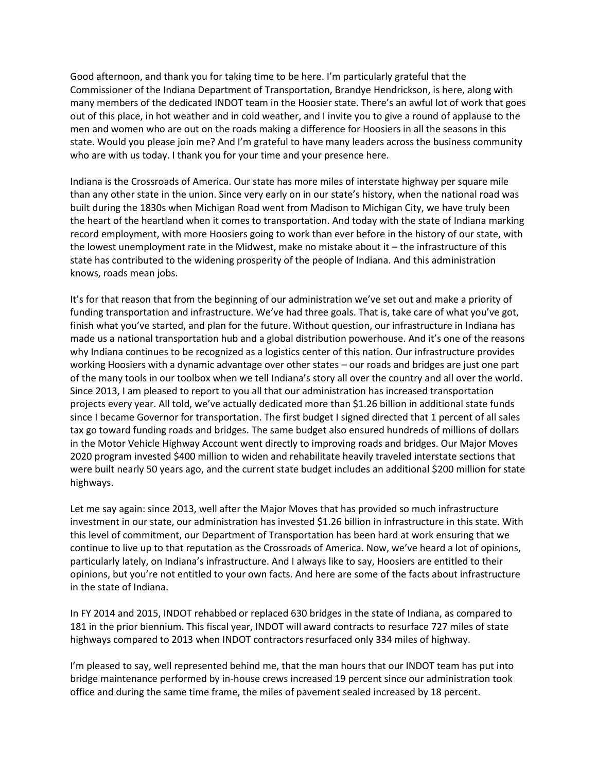Good afternoon, and thank you for taking time to be here. I'm particularly grateful that the Commissioner of the Indiana Department of Transportation, Brandye Hendrickson, is here, along with many members of the dedicated INDOT team in the Hoosier state. There's an awful lot of work that goes out of this place, in hot weather and in cold weather, and I invite you to give a round of applause to the men and women who are out on the roads making a difference for Hoosiers in all the seasons in this state. Would you please join me? And I'm grateful to have many leaders across the business community who are with us today. I thank you for your time and your presence here.

Indiana is the Crossroads of America. Our state has more miles of interstate highway per square mile than any other state in the union. Since very early on in our state's history, when the national road was built during the 1830s when Michigan Road went from Madison to Michigan City, we have truly been the heart of the heartland when it comes to transportation. And today with the state of Indiana marking record employment, with more Hoosiers going to work than ever before in the history of our state, with the lowest unemployment rate in the Midwest, make no mistake about it – the infrastructure of this state has contributed to the widening prosperity of the people of Indiana. And this administration knows, roads mean jobs.

It's for that reason that from the beginning of our administration we've set out and make a priority of funding transportation and infrastructure. We've had three goals. That is, take care of what you've got, finish what you've started, and plan for the future. Without question, our infrastructure in Indiana has made us a national transportation hub and a global distribution powerhouse. And it's one of the reasons why Indiana continues to be recognized as a logistics center of this nation. Our infrastructure provides working Hoosiers with a dynamic advantage over other states – our roads and bridges are just one part of the many tools in our toolbox when we tell Indiana's story all over the country and all over the world. Since 2013, I am pleased to report to you all that our administration has increased transportation projects every year. All told, we've actually dedicated more than \$1.26 billion in additional state funds since I became Governor for transportation. The first budget I signed directed that 1 percent of all sales tax go toward funding roads and bridges. The same budget also ensured hundreds of millions of dollars in the Motor Vehicle Highway Account went directly to improving roads and bridges. Our Major Moves 2020 program invested \$400 million to widen and rehabilitate heavily traveled interstate sections that were built nearly 50 years ago, and the current state budget includes an additional \$200 million for state highways.

Let me say again: since 2013, well after the Major Moves that has provided so much infrastructure investment in our state, our administration has invested \$1.26 billion in infrastructure in this state. With this level of commitment, our Department of Transportation has been hard at work ensuring that we continue to live up to that reputation as the Crossroads of America. Now, we've heard a lot of opinions, particularly lately, on Indiana's infrastructure. And I always like to say, Hoosiers are entitled to their opinions, but you're not entitled to your own facts. And here are some of the facts about infrastructure in the state of Indiana.

In FY 2014 and 2015, INDOT rehabbed or replaced 630 bridges in the state of Indiana, as compared to 181 in the prior biennium. This fiscal year, INDOT will award contracts to resurface 727 miles of state highways compared to 2013 when INDOT contractors resurfaced only 334 miles of highway.

I'm pleased to say, well represented behind me, that the man hours that our INDOT team has put into bridge maintenance performed by in-house crews increased 19 percent since our administration took office and during the same time frame, the miles of pavement sealed increased by 18 percent.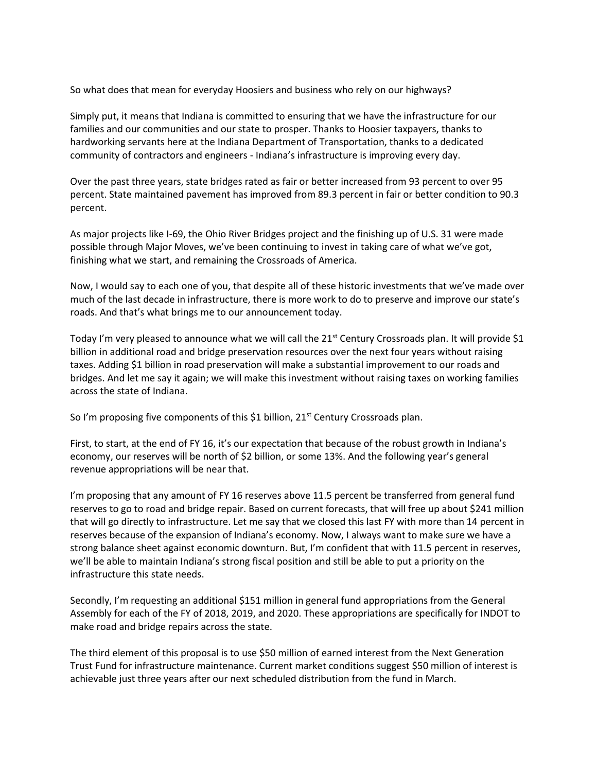So what does that mean for everyday Hoosiers and business who rely on our highways?

Simply put, it means that Indiana is committed to ensuring that we have the infrastructure for our families and our communities and our state to prosper. Thanks to Hoosier taxpayers, thanks to hardworking servants here at the Indiana Department of Transportation, thanks to a dedicated community of contractors and engineers - Indiana's infrastructure is improving every day.

Over the past three years, state bridges rated as fair or better increased from 93 percent to over 95 percent. State maintained pavement has improved from 89.3 percent in fair or better condition to 90.3 percent.

As major projects like I-69, the Ohio River Bridges project and the finishing up of U.S. 31 were made possible through Major Moves, we've been continuing to invest in taking care of what we've got, finishing what we start, and remaining the Crossroads of America.

Now, I would say to each one of you, that despite all of these historic investments that we've made over much of the last decade in infrastructure, there is more work to do to preserve and improve our state's roads. And that's what brings me to our announcement today.

Today I'm very pleased to announce what we will call the  $21^{st}$  Century Crossroads plan. It will provide \$1 billion in additional road and bridge preservation resources over the next four years without raising taxes. Adding \$1 billion in road preservation will make a substantial improvement to our roads and bridges. And let me say it again; we will make this investment without raising taxes on working families across the state of Indiana.

So I'm proposing five components of this \$1 billion,  $21<sup>st</sup>$  Century Crossroads plan.

First, to start, at the end of FY 16, it's our expectation that because of the robust growth in Indiana's economy, our reserves will be north of \$2 billion, or some 13%. And the following year's general revenue appropriations will be near that.

I'm proposing that any amount of FY 16 reserves above 11.5 percent be transferred from general fund reserves to go to road and bridge repair. Based on current forecasts, that will free up about \$241 million that will go directly to infrastructure. Let me say that we closed this last FY with more than 14 percent in reserves because of the expansion of Indiana's economy. Now, I always want to make sure we have a strong balance sheet against economic downturn. But, I'm confident that with 11.5 percent in reserves, we'll be able to maintain Indiana's strong fiscal position and still be able to put a priority on the infrastructure this state needs.

Secondly, I'm requesting an additional \$151 million in general fund appropriations from the General Assembly for each of the FY of 2018, 2019, and 2020. These appropriations are specifically for INDOT to make road and bridge repairs across the state.

The third element of this proposal is to use \$50 million of earned interest from the Next Generation Trust Fund for infrastructure maintenance. Current market conditions suggest \$50 million of interest is achievable just three years after our next scheduled distribution from the fund in March.